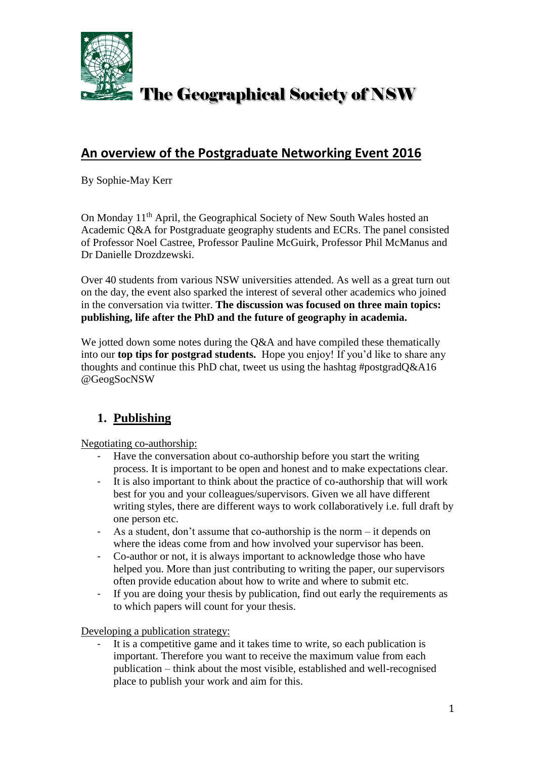

### **An overview of the Postgraduate Networking Event 2016**

By Sophie-May Kerr

On Monday 11<sup>th</sup> April, the Geographical Society of New South Wales hosted an Academic Q&A for Postgraduate geography students and ECRs. The panel consisted of Professor Noel Castree, Professor Pauline McGuirk, Professor Phil McManus and Dr Danielle Drozdzewski.

Over 40 students from various NSW universities attended. As well as a great turn out on the day, the event also sparked the interest of several other academics who joined in the conversation via twitter. **The discussion was focused on three main topics: publishing, life after the PhD and the future of geography in academia.** 

We jotted down some notes during the O&A and have compiled these thematically into our **top tips for postgrad students.** Hope you enjoy! If you'd like to share any thoughts and continue this PhD chat, tweet us using the hashtag #postgradQ&A16 @GeogSocNSW

#### **1. Publishing**

Negotiating co-authorship:

- Have the conversation about co-authorship before you start the writing process. It is important to be open and honest and to make expectations clear.
- It is also important to think about the practice of co-authorship that will work best for you and your colleagues/supervisors. Given we all have different writing styles, there are different ways to work collaboratively i.e. full draft by one person etc.
- As a student, don't assume that co-authorship is the norm  $-$  it depends on where the ideas come from and how involved your supervisor has been.
- Co-author or not, it is always important to acknowledge those who have helped you. More than just contributing to writing the paper, our supervisors often provide education about how to write and where to submit etc.
- If you are doing your thesis by publication, find out early the requirements as to which papers will count for your thesis.

Developing a publication strategy:

- It is a competitive game and it takes time to write, so each publication is important. Therefore you want to receive the maximum value from each publication – think about the most visible, established and well-recognised place to publish your work and aim for this.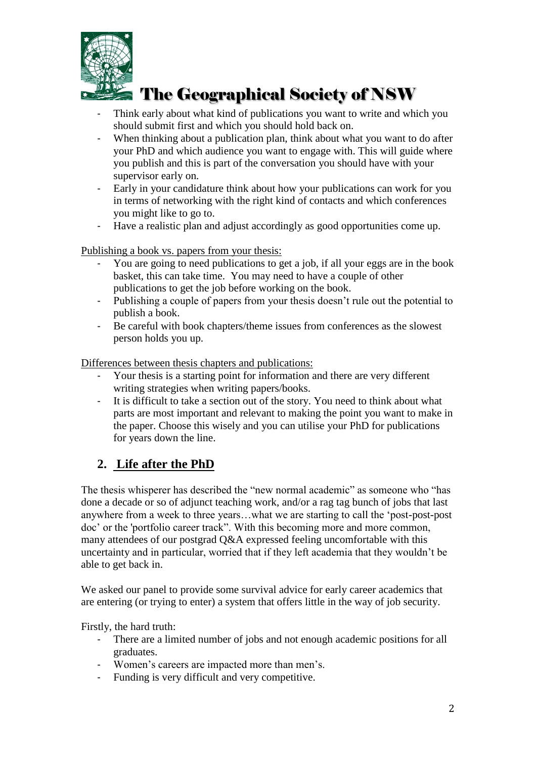

- Think early about what kind of publications you want to write and which you should submit first and which you should hold back on.
- When thinking about a publication plan, think about what you want to do after your PhD and which audience you want to engage with. This will guide where you publish and this is part of the conversation you should have with your supervisor early on.
- Early in your candidature think about how your publications can work for you in terms of networking with the right kind of contacts and which conferences you might like to go to.
- Have a realistic plan and adjust accordingly as good opportunities come up.

Publishing a book vs. papers from your thesis:

- You are going to need publications to get a job, if all your eggs are in the book basket, this can take time. You may need to have a couple of other publications to get the job before working on the book.
- Publishing a couple of papers from your thesis doesn't rule out the potential to publish a book.
- Be careful with book chapters/theme issues from conferences as the slowest person holds you up.

Differences between thesis chapters and publications:

- Your thesis is a starting point for information and there are very different writing strategies when writing papers/books.
- It is difficult to take a section out of the story. You need to think about what parts are most important and relevant to making the point you want to make in the paper. Choose this wisely and you can utilise your PhD for publications for years down the line.

### **2. Life after the PhD**

The thesis whisperer has described the "new normal academic" as someone who "has done a decade or so of adjunct teaching work, and/or a rag tag bunch of jobs that last anywhere from a week to three years…what we are starting to call the 'post-post-post doc' or the 'portfolio career track". With this becoming more and more common, many attendees of our postgrad Q&A expressed feeling uncomfortable with this uncertainty and in particular, worried that if they left academia that they wouldn't be able to get back in.

We asked our panel to provide some survival advice for early career academics that are entering (or trying to enter) a system that offers little in the way of job security.

Firstly, the hard truth:

- There are a limited number of jobs and not enough academic positions for all graduates.
- Women's careers are impacted more than men's.
- Funding is very difficult and very competitive.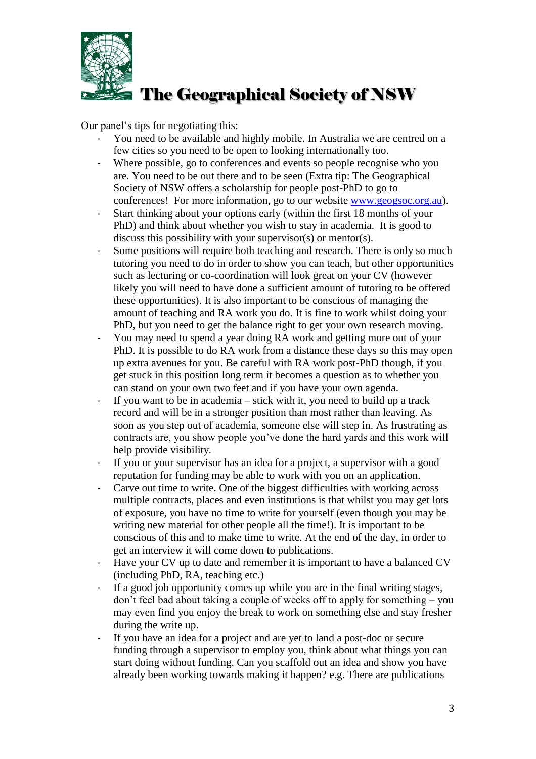

Our panel's tips for negotiating this:

- You need to be available and highly mobile. In Australia we are centred on a few cities so you need to be open to looking internationally too.
- Where possible, go to conferences and events so people recognise who you are. You need to be out there and to be seen (Extra tip: The Geographical Society of NSW offers a scholarship for people post-PhD to go to conferences! For more information, go to our website [www.geogsoc.org.au\)](http://www.geogsoc.org.au/).
- Start thinking about your options early (within the first 18 months of your PhD) and think about whether you wish to stay in academia. It is good to discuss this possibility with your supervisor(s) or mentor(s).
- Some positions will require both teaching and research. There is only so much tutoring you need to do in order to show you can teach, but other opportunities such as lecturing or co-coordination will look great on your CV (however likely you will need to have done a sufficient amount of tutoring to be offered these opportunities). It is also important to be conscious of managing the amount of teaching and RA work you do. It is fine to work whilst doing your PhD, but you need to get the balance right to get your own research moving.
- You may need to spend a year doing RA work and getting more out of your PhD. It is possible to do RA work from a distance these days so this may open up extra avenues for you. Be careful with RA work post-PhD though, if you get stuck in this position long term it becomes a question as to whether you can stand on your own two feet and if you have your own agenda.
- If you want to be in academia stick with it, you need to build up a track record and will be in a stronger position than most rather than leaving. As soon as you step out of academia, someone else will step in. As frustrating as contracts are, you show people you've done the hard yards and this work will help provide visibility.
- If you or your supervisor has an idea for a project, a supervisor with a good reputation for funding may be able to work with you on an application.
- Carve out time to write. One of the biggest difficulties with working across multiple contracts, places and even institutions is that whilst you may get lots of exposure, you have no time to write for yourself (even though you may be writing new material for other people all the time!). It is important to be conscious of this and to make time to write. At the end of the day, in order to get an interview it will come down to publications.
- Have your CV up to date and remember it is important to have a balanced CV (including PhD, RA, teaching etc.)
- If a good job opportunity comes up while you are in the final writing stages, don't feel bad about taking a couple of weeks off to apply for something – you may even find you enjoy the break to work on something else and stay fresher during the write up.
- If you have an idea for a project and are yet to land a post-doc or secure funding through a supervisor to employ you, think about what things you can start doing without funding. Can you scaffold out an idea and show you have already been working towards making it happen? e.g. There are publications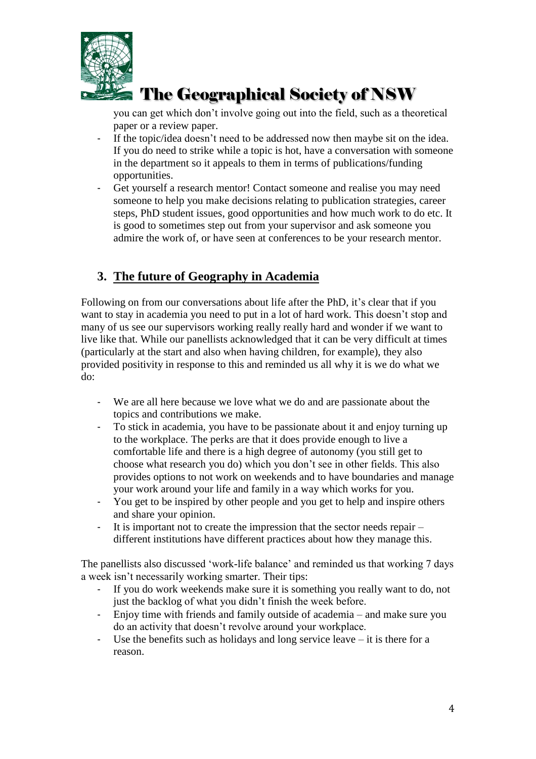

you can get which don't involve going out into the field, such as a theoretical paper or a review paper.

- If the topic/idea doesn't need to be addressed now then maybe sit on the idea. If you do need to strike while a topic is hot, have a conversation with someone in the department so it appeals to them in terms of publications/funding opportunities.
- Get yourself a research mentor! Contact someone and realise you may need someone to help you make decisions relating to publication strategies, career steps, PhD student issues, good opportunities and how much work to do etc. It is good to sometimes step out from your supervisor and ask someone you admire the work of, or have seen at conferences to be your research mentor.

#### **3. The future of Geography in Academia**

Following on from our conversations about life after the PhD, it's clear that if you want to stay in academia you need to put in a lot of hard work. This doesn't stop and many of us see our supervisors working really really hard and wonder if we want to live like that. While our panellists acknowledged that it can be very difficult at times (particularly at the start and also when having children, for example), they also provided positivity in response to this and reminded us all why it is we do what we do:

- We are all here because we love what we do and are passionate about the topics and contributions we make.
- To stick in academia, you have to be passionate about it and enjoy turning up to the workplace. The perks are that it does provide enough to live a comfortable life and there is a high degree of autonomy (you still get to choose what research you do) which you don't see in other fields. This also provides options to not work on weekends and to have boundaries and manage your work around your life and family in a way which works for you.
- You get to be inspired by other people and you get to help and inspire others and share your opinion.
- It is important not to create the impression that the sector needs repair different institutions have different practices about how they manage this.

The panellists also discussed 'work-life balance' and reminded us that working 7 days a week isn't necessarily working smarter. Their tips:

- If you do work weekends make sure it is something you really want to do, not just the backlog of what you didn't finish the week before.
- Enjoy time with friends and family outside of academia and make sure you do an activity that doesn't revolve around your workplace.
- Use the benefits such as holidays and long service leave it is there for a reason.